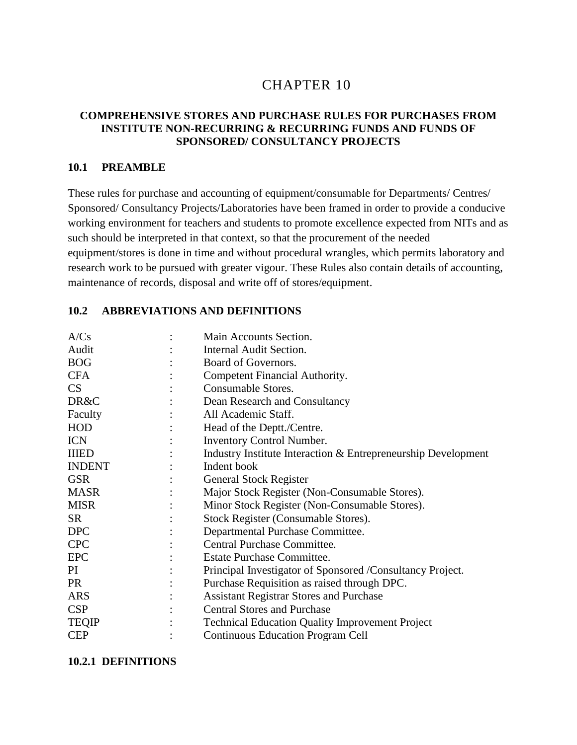# 10 CHAPTER 10

#### **COMPREHENSIVE STORES AND PURCHASE RULES FOR PURCHASES FROM INSTITUTE NON-RECURRING & RECURRING FUNDS AND FUNDS OF SPONSORED/ CONSULTANCY PROJECTS**

#### **10.1 PREAMBLE**

These rules for purchase and accounting of equipment/consumable for Departments/ Centres/ Sponsored/ Consultancy Projects/Laboratories have been framed in order to provide a conducive working environment for teachers and students to promote excellence expected from NITs and as such should be interpreted in that context, so that the procurement of the needed equipment/stores is done in time and without procedural wrangles, which permits laboratory and research work to be pursued with greater vigour. These Rules also contain details of accounting, maintenance of records, disposal and write off of stores/equipment.

#### **10.2 ABBREVIATIONS AND DEFINITIONS**

| Main Accounts Section.                                        |
|---------------------------------------------------------------|
| Internal Audit Section.                                       |
| Board of Governors.                                           |
| Competent Financial Authority.                                |
| Consumable Stores.                                            |
| Dean Research and Consultancy                                 |
| All Academic Staff.                                           |
| Head of the Deptt./Centre.                                    |
| <b>Inventory Control Number.</b>                              |
| Industry Institute Interaction & Entrepreneurship Development |
| Indent book                                                   |
| <b>General Stock Register</b>                                 |
| Major Stock Register (Non-Consumable Stores).                 |
| Minor Stock Register (Non-Consumable Stores).                 |
| Stock Register (Consumable Stores).                           |
| Departmental Purchase Committee.                              |
| Central Purchase Committee.                                   |
| Estate Purchase Committee.                                    |
| Principal Investigator of Sponsored /Consultancy Project.     |
| Purchase Requisition as raised through DPC.                   |
| <b>Assistant Registrar Stores and Purchase</b>                |
| <b>Central Stores and Purchase</b>                            |
| <b>Technical Education Quality Improvement Project</b>        |
| <b>Continuous Education Program Cell</b>                      |
|                                                               |

#### **10.2.1 DEFINITIONS**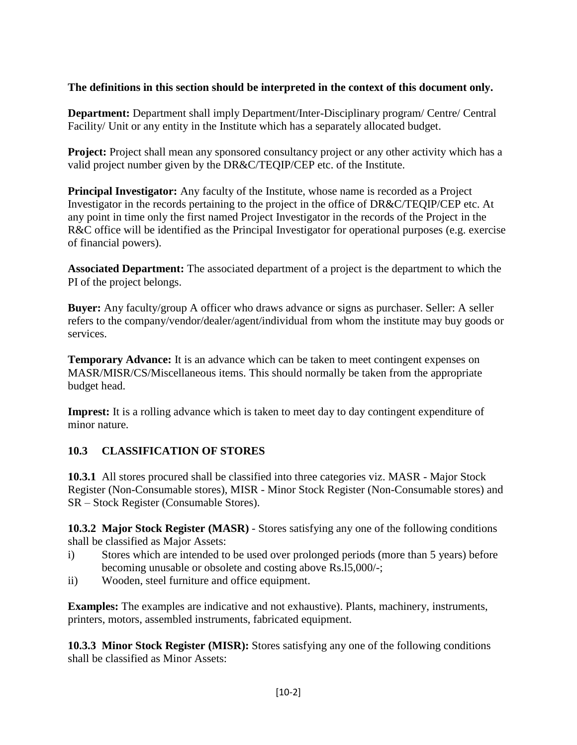#### **The definitions in this section should be interpreted in the context of this document only.**

**Department:** Department shall imply Department/Inter-Disciplinary program/ Centre/ Central Facility/ Unit or any entity in the Institute which has a separately allocated budget.

**Project:** Project shall mean any sponsored consultancy project or any other activity which has a valid project number given by the DR&C/TEQIP/CEP etc. of the Institute.

**Principal Investigator:** Any faculty of the Institute, whose name is recorded as a Project Investigator in the records pertaining to the project in the office of DR&C/TEQIP/CEP etc. At any point in time only the first named Project Investigator in the records of the Project in the R&C office will be identified as the Principal Investigator for operational purposes (e.g. exercise of financial powers).

**Associated Department:** The associated department of a project is the department to which the PI of the project belongs.

**Buyer:** Any faculty/group A officer who draws advance or signs as purchaser. Seller: A seller refers to the company/vendor/dealer/agent/individual from whom the institute may buy goods or services.

**Temporary Advance:** It is an advance which can be taken to meet contingent expenses on MASR/MISR/CS/Miscellaneous items. This should normally be taken from the appropriate budget head.

**Imprest:** It is a rolling advance which is taken to meet day to day contingent expenditure of minor nature.

## **10.3 CLASSIFICATION OF STORES**

**10.3.1** All stores procured shall be classified into three categories viz. MASR - Major Stock Register (Non-Consumable stores), MISR - Minor Stock Register (Non-Consumable stores) and SR – Stock Register (Consumable Stores).

**10.3.2 Major Stock Register (MASR)** - Stores satisfying any one of the following conditions shall be classified as Major Assets:

- i) Stores which are intended to be used over prolonged periods (more than 5 years) before becoming unusable or obsolete and costing above Rs.l5,000/-;
- ii) Wooden, steel furniture and office equipment.

**Examples:** The examples are indicative and not exhaustive). Plants, machinery, instruments, printers, motors, assembled instruments, fabricated equipment.

**10.3.3 Minor Stock Register (MISR):** Stores satisfying any one of the following conditions shall be classified as Minor Assets: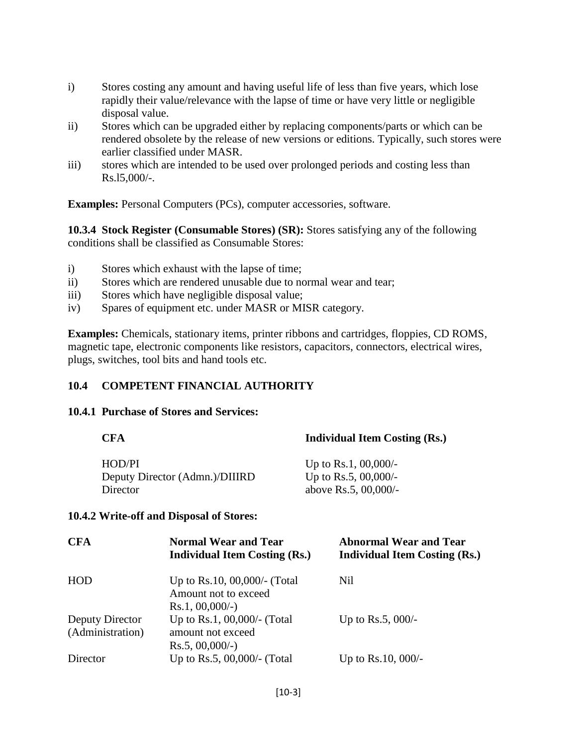- i) Stores costing any amount and having useful life of less than five years, which lose rapidly their value/relevance with the lapse of time or have very little or negligible disposal value.
- ii) Stores which can be upgraded either by replacing components/parts or which can be rendered obsolete by the release of new versions or editions. Typically, such stores were earlier classified under MASR.
- iii) stores which are intended to be used over prolonged periods and costing less than Rs.l5,000/-.

**Examples:** Personal Computers (PCs), computer accessories, software.

**10.3.4 Stock Register (Consumable Stores) (SR):** Stores satisfying any of the following conditions shall be classified as Consumable Stores:

- i) Stores which exhaust with the lapse of time;
- ii) Stores which are rendered unusable due to normal wear and tear;
- iii) Stores which have negligible disposal value;
- iv) Spares of equipment etc. under MASR or MISR category.

**Examples:** Chemicals, stationary items, printer ribbons and cartridges, floppies, CD ROMS, magnetic tape, electronic components like resistors, capacitors, connectors, electrical wires, plugs, switches, tool bits and hand tools etc.

#### **10.4 COMPETENT FINANCIAL AUTHORITY**

#### **10.4.1 Purchase of Stores and Services:**

| <b>Individual Item Costing (Rs.)</b> |
|--------------------------------------|
| Up to Rs.1, $00,000/$ -              |
| Up to Rs.5, $00,000/$ -              |
| above Rs.5, 00,000/-                 |
|                                      |

#### **10.4.2 Write-off and Disposal of Stores:**

| <b>CFA</b>                          | <b>Normal Wear and Tear</b><br><b>Individual Item Costing (Rs.)</b>    | <b>Abnormal Wear and Tear</b><br><b>Individual Item Costing (Rs.)</b> |
|-------------------------------------|------------------------------------------------------------------------|-----------------------------------------------------------------------|
| HOD                                 | Up to Rs.10, 00,000/- (Total<br>Amount not to exceed                   | Nil                                                                   |
|                                     | $Rs.1, 00,000/-$ )                                                     |                                                                       |
| Deputy Director<br>(Administration) | Up to Rs.1, 00,000/- (Total<br>amount not exceed<br>$Rs.5, 00,000/-$ ) | Up to Rs.5, $000/-$                                                   |
| Director                            | Up to Rs.5, 00,000/- (Total                                            | Up to Rs. $10,000/-$                                                  |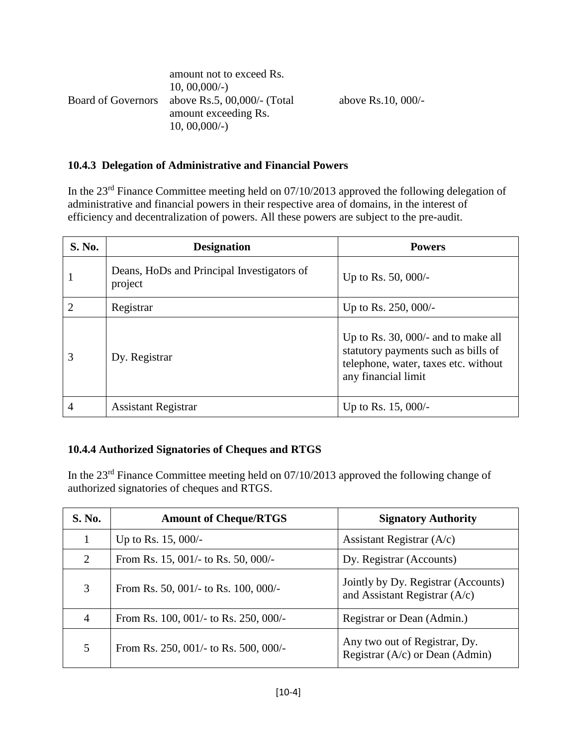|                           | amount not to exceed Rs.       |                    |
|---------------------------|--------------------------------|--------------------|
|                           | $10, 00, 000/$ -               |                    |
| <b>Board of Governors</b> | above Rs.5, $00,000/$ - (Total | above Rs.10, 000/- |
|                           | amount exceeding Rs.           |                    |
|                           | $10, 00, 000/$ -               |                    |

#### **10.4.3 Delegation of Administrative and Financial Powers**

In the 23<sup>rd</sup> Finance Committee meeting held on 07/10/2013 approved the following delegation of administrative and financial powers in their respective area of domains, in the interest of efficiency and decentralization of powers. All these powers are subject to the pre-audit.

| S. No.                      | <b>Designation</b>                                    | <b>Powers</b>                                                                                                                               |
|-----------------------------|-------------------------------------------------------|---------------------------------------------------------------------------------------------------------------------------------------------|
|                             | Deans, HoDs and Principal Investigators of<br>project | Up to Rs. 50, 000/-                                                                                                                         |
| $\mathcal{D}_{\mathcal{L}}$ | Registrar                                             | Up to Rs. $250,000/-$                                                                                                                       |
| 3                           | Dy. Registrar                                         | Up to Rs. 30, $000/-$ and to make all<br>statutory payments such as bills of<br>telephone, water, taxes etc. without<br>any financial limit |
| 4                           | <b>Assistant Registrar</b>                            | Up to Rs. $15,000/-$                                                                                                                        |

#### **10.4.4 Authorized Signatories of Cheques and RTGS**

In the 23rd Finance Committee meeting held on 07/10/2013 approved the following change of authorized signatories of cheques and RTGS.

| <b>S. No.</b>  | <b>Amount of Cheque/RTGS</b>                    | <b>Signatory Authority</b>                                             |
|----------------|-------------------------------------------------|------------------------------------------------------------------------|
|                | Up to Rs. $15,000/-$                            | Assistant Registrar $(A/c)$                                            |
| 2              | From Rs. $15,001/-$ to Rs. $50,000/-$           | Dy. Registrar (Accounts)                                               |
| 3              | From Rs. 50, 001/- to Rs. 100, 000/-            | Jointly by Dy. Registrar (Accounts)<br>and Assistant Registrar $(A/c)$ |
| $\overline{4}$ | From Rs. $100$ , $001/-$ to Rs. $250$ , $000/-$ | Registrar or Dean (Admin.)                                             |
| 5              | From Rs. 250, 001/- to Rs. 500, 000/-           | Any two out of Registrar, Dy.<br>Registrar (A/c) or Dean (Admin)       |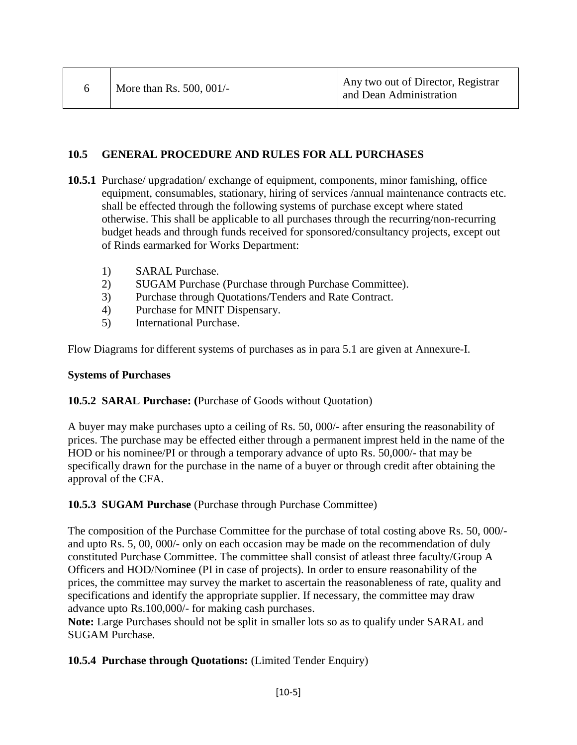#### **10.5 GENERAL PROCEDURE AND RULES FOR ALL PURCHASES**

- **10.5.1** Purchase/ upgradation/ exchange of equipment, components, minor famishing, office equipment, consumables, stationary, hiring of services /annual maintenance contracts etc. shall be effected through the following systems of purchase except where stated otherwise. This shall be applicable to all purchases through the recurring/non-recurring budget heads and through funds received for sponsored/consultancy projects, except out of Rinds earmarked for Works Department:
	- 1) SARAL Purchase.
	- 2) SUGAM Purchase (Purchase through Purchase Committee).
	- 3) Purchase through Quotations/Tenders and Rate Contract.
	- 4) Purchase for MNIT Dispensary.
	- 5) International Purchase.

Flow Diagrams for different systems of purchases as in para 5.1 are given at Annexure-I.

#### **Systems of Purchases**

#### **10.5.2 SARAL Purchase: (**Purchase of Goods without Quotation)

A buyer may make purchases upto a ceiling of Rs. 50, 000/- after ensuring the reasonability of prices. The purchase may be effected either through a permanent imprest held in the name of the HOD or his nominee/PI or through a temporary advance of upto Rs. 50,000/- that may be specifically drawn for the purchase in the name of a buyer or through credit after obtaining the approval of the CFA.

#### **10.5.3 SUGAM Purchase** (Purchase through Purchase Committee)

The composition of the Purchase Committee for the purchase of total costing above Rs. 50, 000/ and upto Rs. 5, 00, 000/- only on each occasion may be made on the recommendation of duly constituted Purchase Committee. The committee shall consist of atleast three faculty/Group A Officers and HOD/Nominee (PI in case of projects). In order to ensure reasonability of the prices, the committee may survey the market to ascertain the reasonableness of rate, quality and specifications and identify the appropriate supplier. If necessary, the committee may draw advance upto Rs.100,000/- for making cash purchases.

**Note:** Large Purchases should not be split in smaller lots so as to qualify under SARAL and SUGAM Purchase.

#### **10.5.4 Purchase through Quotations:** (Limited Tender Enquiry)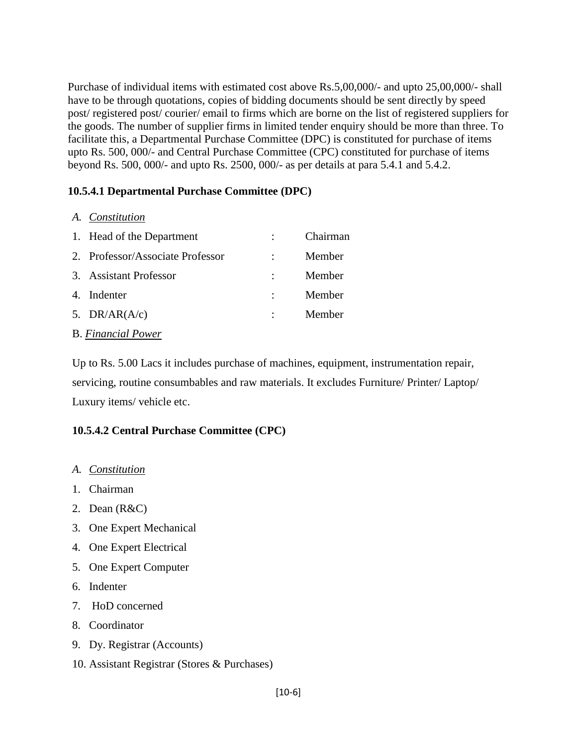Purchase of individual items with estimated cost above Rs.5,00,000/- and upto 25,00,000/- shall have to be through quotations, copies of bidding documents should be sent directly by speed post/ registered post/ courier/ email to firms which are borne on the list of registered suppliers for the goods. The number of supplier firms in limited tender enquiry should be more than three. To facilitate this, a Departmental Purchase Committee (DPC) is constituted for purchase of items upto Rs. 500, 000/- and Central Purchase Committee (CPC) constituted for purchase of items beyond Rs. 500, 000/- and upto Rs. 2500, 000/- as per details at para 5.4.1 and 5.4.2.

#### **10.5.4.1 Departmental Purchase Committee (DPC)**

*A. Constitution* 

| 1. Head of the Department        | Chairman |
|----------------------------------|----------|
| 2. Professor/Associate Professor | Member   |
| 3. Assistant Professor           | Member   |
| 4. Indenter                      | Member   |
| 5. $DR/AR(A/c)$                  | Member   |
| <b>B.</b> Financial Power        |          |

Up to Rs. 5.00 Lacs it includes purchase of machines, equipment, instrumentation repair, servicing, routine consumbables and raw materials. It excludes Furniture/ Printer/ Laptop/ Luxury items/ vehicle etc.

#### **10.5.4.2 Central Purchase Committee (CPC)**

- *A. Constitution*
- 1. Chairman
- 2. Dean (R&C)
- 3. One Expert Mechanical
- 4. One Expert Electrical
- 5. One Expert Computer
- 6. Indenter
- 7. HoD concerned
- 8. Coordinator
- 9. Dy. Registrar (Accounts)
- 10. Assistant Registrar (Stores & Purchases)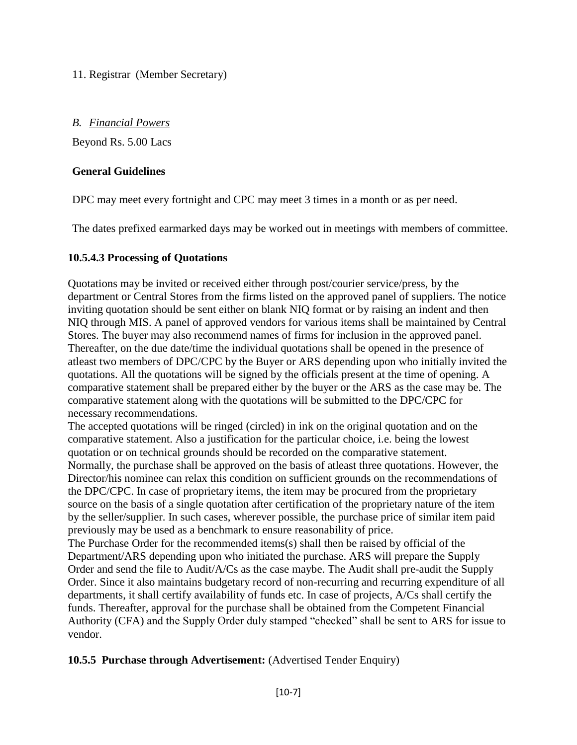11. Registrar (Member Secretary)

#### *B. Financial Powers*

Beyond Rs. 5.00 Lacs

#### **General Guidelines**

DPC may meet every fortnight and CPC may meet 3 times in a month or as per need.

The dates prefixed earmarked days may be worked out in meetings with members of committee.

## **10.5.4.3 Processing of Quotations**

Quotations may be invited or received either through post/courier service/press, by the department or Central Stores from the firms listed on the approved panel of suppliers. The notice inviting quotation should be sent either on blank NIQ format or by raising an indent and then NIQ through MIS. A panel of approved vendors for various items shall be maintained by Central Stores. The buyer may also recommend names of firms for inclusion in the approved panel. Thereafter, on the due date/time the individual quotations shall be opened in the presence of atleast two members of DPC/CPC by the Buyer or ARS depending upon who initially invited the quotations. All the quotations will be signed by the officials present at the time of opening. A comparative statement shall be prepared either by the buyer or the ARS as the case may be. The comparative statement along with the quotations will be submitted to the DPC/CPC for necessary recommendations.

The accepted quotations will be ringed (circled) in ink on the original quotation and on the comparative statement. Also a justification for the particular choice, i.e. being the lowest quotation or on technical grounds should be recorded on the comparative statement. Normally, the purchase shall be approved on the basis of atleast three quotations. However, the Director/his nominee can relax this condition on sufficient grounds on the recommendations of the DPC/CPC. In case of proprietary items, the item may be procured from the proprietary source on the basis of a single quotation after certification of the proprietary nature of the item by the seller/supplier. In such cases, wherever possible, the purchase price of similar item paid previously may be used as a benchmark to ensure reasonability of price.

The Purchase Order for the recommended items(s) shall then be raised by official of the Department/ARS depending upon who initiated the purchase. ARS will prepare the Supply Order and send the file to Audit/A/Cs as the case maybe. The Audit shall pre-audit the Supply Order. Since it also maintains budgetary record of non-recurring and recurring expenditure of all departments, it shall certify availability of funds etc. In case of projects, A/Cs shall certify the funds. Thereafter, approval for the purchase shall be obtained from the Competent Financial Authority (CFA) and the Supply Order duly stamped "checked" shall be sent to ARS for issue to vendor.

## **10.5.5 Purchase through Advertisement:** (Advertised Tender Enquiry)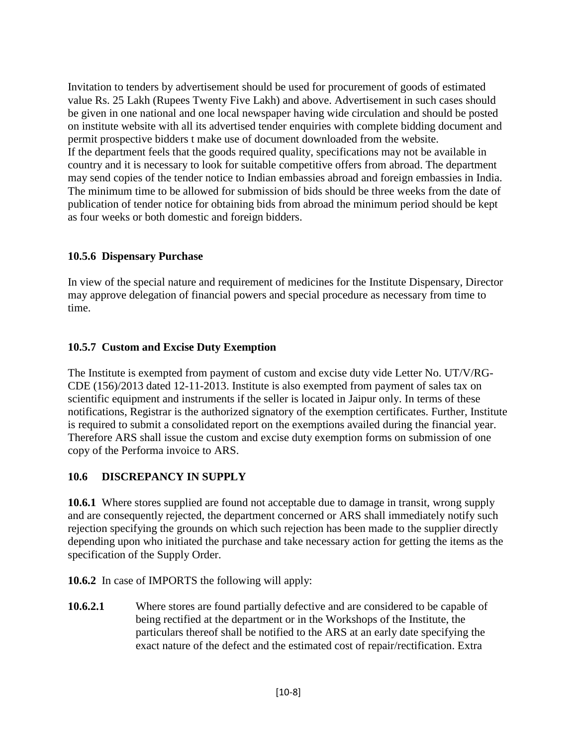Invitation to tenders by advertisement should be used for procurement of goods of estimated value Rs. 25 Lakh (Rupees Twenty Five Lakh) and above. Advertisement in such cases should be given in one national and one local newspaper having wide circulation and should be posted on institute website with all its advertised tender enquiries with complete bidding document and permit prospective bidders t make use of document downloaded from the website. If the department feels that the goods required quality, specifications may not be available in country and it is necessary to look for suitable competitive offers from abroad. The department may send copies of the tender notice to Indian embassies abroad and foreign embassies in India. The minimum time to be allowed for submission of bids should be three weeks from the date of publication of tender notice for obtaining bids from abroad the minimum period should be kept as four weeks or both domestic and foreign bidders.

#### **10.5.6 Dispensary Purchase**

In view of the special nature and requirement of medicines for the Institute Dispensary, Director may approve delegation of financial powers and special procedure as necessary from time to time.

#### **10.5.7 Custom and Excise Duty Exemption**

The Institute is exempted from payment of custom and excise duty vide Letter No. UT/V/RG-CDE (156)/2013 dated 12-11-2013. Institute is also exempted from payment of sales tax on scientific equipment and instruments if the seller is located in Jaipur only. In terms of these notifications, Registrar is the authorized signatory of the exemption certificates. Further, Institute is required to submit a consolidated report on the exemptions availed during the financial year. Therefore ARS shall issue the custom and excise duty exemption forms on submission of one copy of the Performa invoice to ARS.

## **10.6 DISCREPANCY IN SUPPLY**

**10.6.1** Where stores supplied are found not acceptable due to damage in transit, wrong supply and are consequently rejected, the department concerned or ARS shall immediately notify such rejection specifying the grounds on which such rejection has been made to the supplier directly depending upon who initiated the purchase and take necessary action for getting the items as the specification of the Supply Order.

**10.6.2** In case of IMPORTS the following will apply:

**10.6.2.1** Where stores are found partially defective and are considered to be capable of being rectified at the department or in the Workshops of the Institute, the particulars thereof shall be notified to the ARS at an early date specifying the exact nature of the defect and the estimated cost of repair/rectification. Extra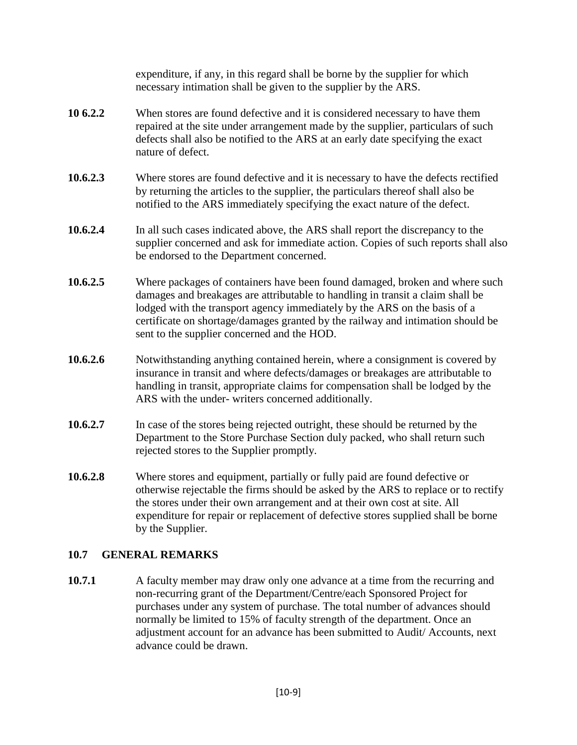expenditure, if any, in this regard shall be borne by the supplier for which necessary intimation shall be given to the supplier by the ARS.

- **10 6.2.2** When stores are found defective and it is considered necessary to have them repaired at the site under arrangement made by the supplier, particulars of such defects shall also be notified to the ARS at an early date specifying the exact nature of defect.
- **10.6.2.3** Where stores are found defective and it is necessary to have the defects rectified by returning the articles to the supplier, the particulars thereof shall also be notified to the ARS immediately specifying the exact nature of the defect.
- **10.6.2.4** In all such cases indicated above, the ARS shall report the discrepancy to the supplier concerned and ask for immediate action. Copies of such reports shall also be endorsed to the Department concerned.
- **10.6.2.5** Where packages of containers have been found damaged, broken and where such damages and breakages are attributable to handling in transit a claim shall be lodged with the transport agency immediately by the ARS on the basis of a certificate on shortage/damages granted by the railway and intimation should be sent to the supplier concerned and the HOD.
- **10.6.2.6** •• Notwithstanding anything contained herein, where a consignment is covered by insurance in transit and where defects/damages or breakages are attributable to handling in transit, appropriate claims for compensation shall be lodged by the ARS with the under- writers concerned additionally.
- **10.6.2.7** In case of the stores being rejected outright, these should be returned by the Department to the Store Purchase Section duly packed, who shall return such rejected stores to the Supplier promptly.
- **10.6.2.8** Where stores and equipment, partially or fully paid are found defective or otherwise rejectable the firms should be asked by the ARS to replace or to rectify the stores under their own arrangement and at their own cost at site. All expenditure for repair or replacement of defective stores supplied shall be borne by the Supplier.

#### **10.7 GENERAL REMARKS**

**10.7.1** A faculty member may draw only one advance at a time from the recurring and non-recurring grant of the Department/Centre/each Sponsored Project for purchases under any system of purchase. The total number of advances should normally be limited to 15% of faculty strength of the department. Once an adjustment account for an advance has been submitted to Audit/ Accounts, next advance could be drawn.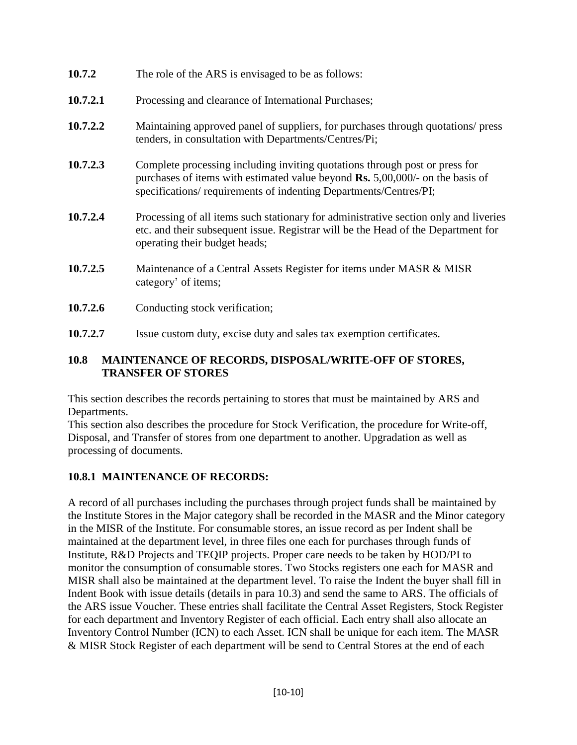| 10.7.2   | The role of the ARS is envisaged to be as follows:                                                                                                                                                                                          |  |
|----------|---------------------------------------------------------------------------------------------------------------------------------------------------------------------------------------------------------------------------------------------|--|
| 10.7.2.1 | Processing and clearance of International Purchases;                                                                                                                                                                                        |  |
| 10.7.2.2 | Maintaining approved panel of suppliers, for purchases through quotations/ press<br>tenders, in consultation with Departments/Centres/Pi;                                                                                                   |  |
| 10.7.2.3 | Complete processing including inviting quotations through post or press for<br>purchases of items with estimated value beyond $\mathbf{Rs.}$ 5,00,000/- on the basis of<br>specifications/requirements of indenting Departments/Centres/PI; |  |
| 10.7.2.4 | Processing of all items such stationary for administrative section only and liveries<br>etc. and their subsequent issue. Registrar will be the Head of the Department for<br>operating their budget heads;                                  |  |
| 10.7.2.5 | Maintenance of a Central Assets Register for items under MASR & MISR<br>category' of items;                                                                                                                                                 |  |

- 10.7.2.6 Conducting stock verification;
- **10.7.2.7** Issue custom duty, excise duty and sales tax exemption certificates.

#### **10.8 MAINTENANCE OF RECORDS, DISPOSAL/WRITE-OFF OF STORES, TRANSFER OF STORES**

This section describes the records pertaining to stores that must be maintained by ARS and Departments.

This section also describes the procedure for Stock Verification, the procedure for Write-off, Disposal, and Transfer of stores from one department to another. Upgradation as well as processing of documents.

## **10.8.1 MAINTENANCE OF RECORDS:**

A record of all purchases including the purchases through project funds shall be maintained by the Institute Stores in the Major category shall be recorded in the MASR and the Minor category in the MISR of the Institute. For consumable stores, an issue record as per Indent shall be maintained at the department level, in three files one each for purchases through funds of Institute, R&D Projects and TEQIP projects. Proper care needs to be taken by HOD/PI to monitor the consumption of consumable stores. Two Stocks registers one each for MASR and MISR shall also be maintained at the department level. To raise the Indent the buyer shall fill in Indent Book with issue details (details in para 10.3) and send the same to ARS. The officials of the ARS issue Voucher. These entries shall facilitate the Central Asset Registers, Stock Register for each department and Inventory Register of each official. Each entry shall also allocate an Inventory Control Number (ICN) to each Asset. ICN shall be unique for each item. The MASR & MISR Stock Register of each department will be send to Central Stores at the end of each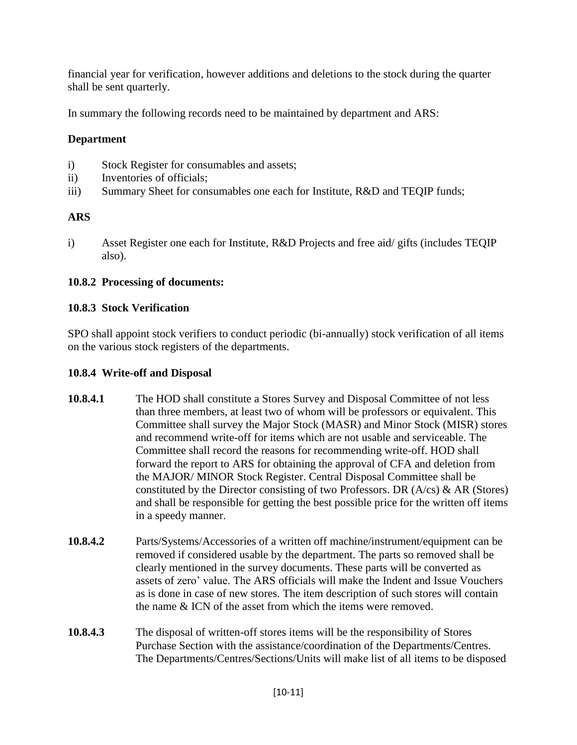financial year for verification, however additions and deletions to the stock during the quarter shall be sent quarterly.

In summary the following records need to be maintained by department and ARS:

## **Department**

- i) Stock Register for consumables and assets;
- ii) Inventories of officials;
- iii) Summary Sheet for consumables one each for Institute, R&D and TEQIP funds;

# **ARS**

i) Asset Register one each for Institute, R&D Projects and free aid/ gifts (includes TEQIP also).

#### **10.8.2 Processing of documents:**

#### **10.8.3 Stock Verification**

SPO shall appoint stock verifiers to conduct periodic (bi-annually) stock verification of all items on the various stock registers of the departments.

#### **10.8.4 Write-off and Disposal**

- **10.8.4.1** The HOD shall constitute a Stores Survey and Disposal Committee of not less than three members, at least two of whom will be professors or equivalent. This Committee shall survey the Major Stock (MASR) and Minor Stock (MISR) stores and recommend write-off for items which are not usable and serviceable. The Committee shall record the reasons for recommending write-off. HOD shall forward the report to ARS for obtaining the approval of CFA and deletion from the MAJOR/ MINOR Stock Register. Central Disposal Committee shall be constituted by the Director consisting of two Professors. DR  $(A/cs)$  & AR (Stores) and shall be responsible for getting the best possible price for the written off items in a speedy manner.
- **10.8.4.2** Parts/Systems/Accessories of a written off machine/instrument/equipment can be removed if considered usable by the department. The parts so removed shall be clearly mentioned in the survey documents. These parts will be converted as assets of zero' value. The ARS officials will make the Indent and Issue Vouchers as is done in case of new stores. The item description of such stores will contain the name & ICN of the asset from which the items were removed.
- **10.8.4.3** The disposal of written-off stores items will be the responsibility of Stores Purchase Section with the assistance/coordination of the Departments/Centres. The Departments/Centres/Sections/Units will make list of all items to be disposed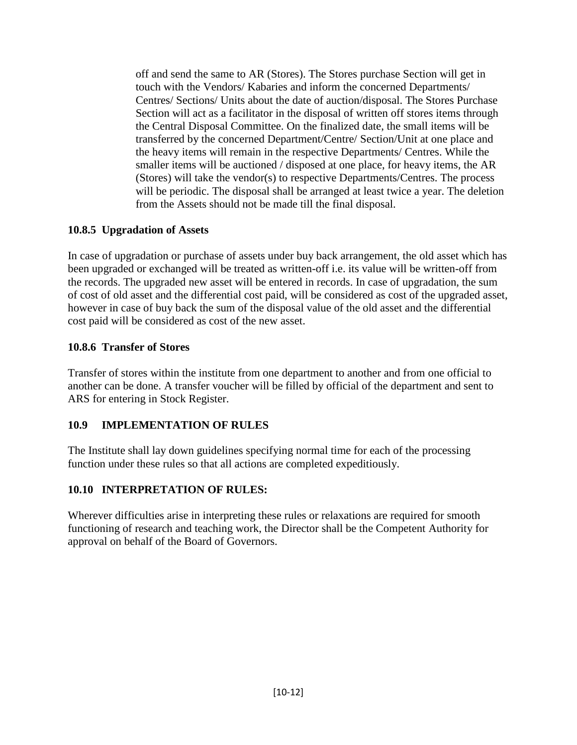off and send the same to AR (Stores). The Stores purchase Section will get in touch with the Vendors/ Kabaries and inform the concerned Departments/ Centres/ Sections/ Units about the date of auction/disposal. The Stores Purchase Section will act as a facilitator in the disposal of written off stores items through the Central Disposal Committee. On the finalized date, the small items will be transferred by the concerned Department/Centre/ Section/Unit at one place and the heavy items will remain in the respective Departments/ Centres. While the smaller items will be auctioned / disposed at one place, for heavy items, the AR (Stores) will take the vendor(s) to respective Departments/Centres. The process will be periodic. The disposal shall be arranged at least twice a year. The deletion from the Assets should not be made till the final disposal.

#### **10.8.5 Upgradation of Assets**

In case of upgradation or purchase of assets under buy back arrangement, the old asset which has been upgraded or exchanged will be treated as written-off i.e. its value will be written-off from the records. The upgraded new asset will be entered in records. In case of upgradation, the sum of cost of old asset and the differential cost paid, will be considered as cost of the upgraded asset, however in case of buy back the sum of the disposal value of the old asset and the differential cost paid will be considered as cost of the new asset.

#### **10.8.6 Transfer of Stores**

Transfer of stores within the institute from one department to another and from one official to another can be done. A transfer voucher will be filled by official of the department and sent to ARS for entering in Stock Register.

## **10.9 IMPLEMENTATION OF RULES**

The Institute shall lay down guidelines specifying normal time for each of the processing function under these rules so that all actions are completed expeditiously.

## **10.10 INTERPRETATION OF RULES:**

Wherever difficulties arise in interpreting these rules or relaxations are required for smooth functioning of research and teaching work, the Director shall be the Competent Authority for approval on behalf of the Board of Governors.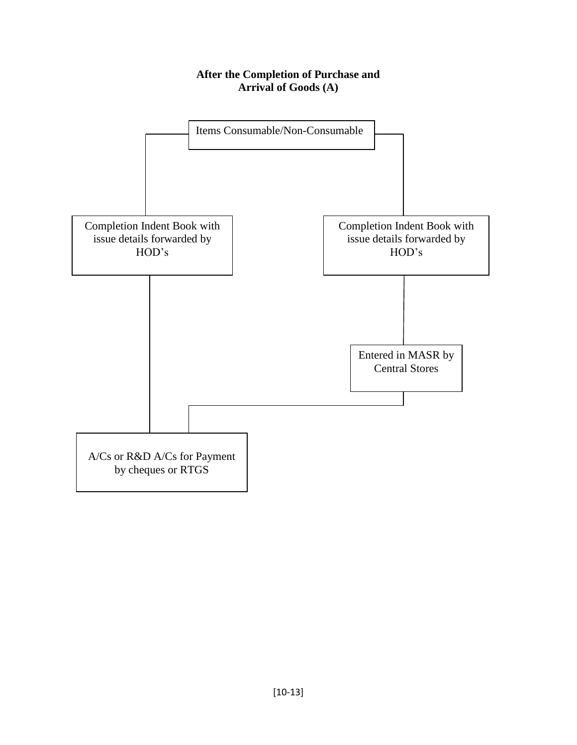#### **After the Completion of Purchase and Arrival of Goods (A)**

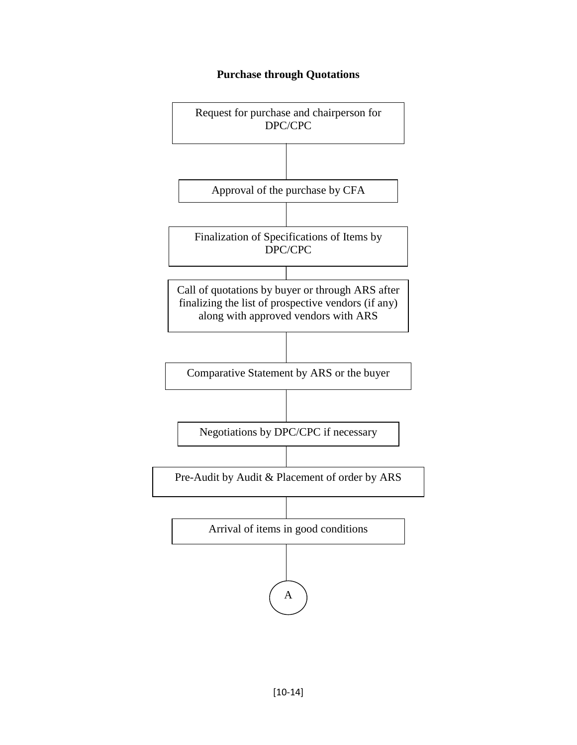#### **Purchase through Quotations**

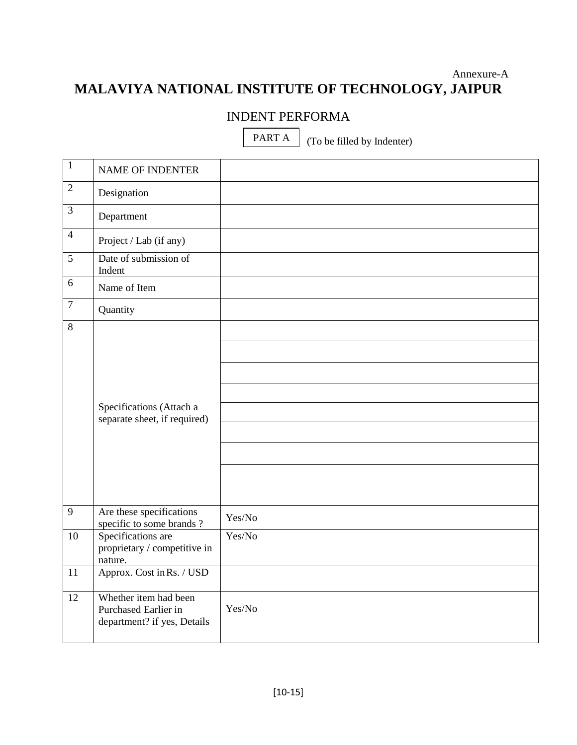# Annexure-A **MALAVIYA NATIONAL INSTITUTE OF TECHNOLOGY, JAIPUR**

# INDENT PERFORMA

PART A

(To be filled by Indenter)

| $\mathbf{1}$    | <b>NAME OF INDENTER</b>                                                      |        |
|-----------------|------------------------------------------------------------------------------|--------|
| $\overline{2}$  | Designation                                                                  |        |
| $\overline{3}$  | Department                                                                   |        |
| $\overline{4}$  | Project / Lab (if any)                                                       |        |
| $\overline{5}$  | Date of submission of<br>Indent                                              |        |
| 6               | Name of Item                                                                 |        |
| $\tau$          | Quantity                                                                     |        |
| $\overline{8}$  |                                                                              |        |
|                 |                                                                              |        |
|                 |                                                                              |        |
|                 |                                                                              |        |
|                 | Specifications (Attach a<br>separate sheet, if required)                     |        |
|                 |                                                                              |        |
|                 |                                                                              |        |
|                 |                                                                              |        |
|                 |                                                                              |        |
| 9               | Are these specifications<br>specific to some brands?                         | Yes/No |
| $\overline{10}$ | Specifications are<br>proprietary / competitive in<br>nature.                | Yes/No |
| $\overline{11}$ | Approx. Cost in Rs. / USD                                                    |        |
| $\overline{12}$ | Whether item had been<br>Purchased Earlier in<br>department? if yes, Details | Yes/No |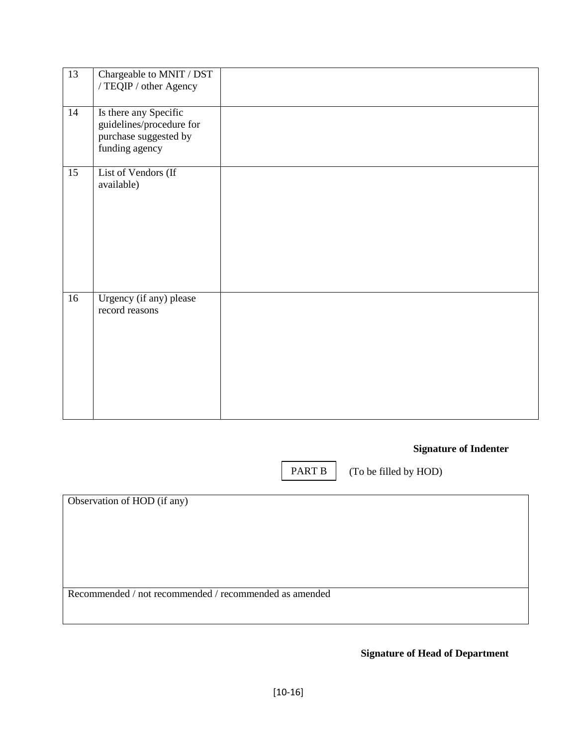| $\overline{13}$ | Chargeable to MNIT / DST<br>/ TEQIP / other Agency                                           |  |
|-----------------|----------------------------------------------------------------------------------------------|--|
| $\overline{14}$ | Is there any Specific<br>guidelines/procedure for<br>purchase suggested by<br>funding agency |  |
| $\overline{15}$ | List of Vendors (If<br>available)                                                            |  |
| 16              | Urgency (if any) please<br>record reasons                                                    |  |

# **Signature of Indenter**

PART B

(To be filled by HOD)

Observation of HOD (if any)

Recommended / not recommended / recommended as amended

**Signature of Head of Department**